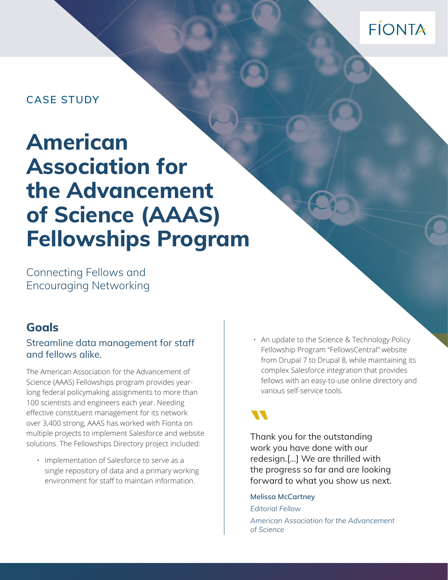# FÍONTA

# **CASE STUDY**

# **American Association for the Advancement of Science (AAAS) Fellowships Program**

Connecting Fellows and Encouraging Networking

### **Goals**

#### Streamline data management for staff and fellows alike.

The American Association for the Advancement of Science (AAAS) Fellowships program provides yearlong federal policymaking assignments to more than 100 scientists and engineers each year. Needing effective constituent management for its network over 3,400 strong, AAAS has worked with Fíonta on multiple projects to implement Salesforce and website solutions. The Fellowships Directory project included:

• Implementation of Salesforce to serve as a single repository of data and a primary working environment for staff to maintain information.

• An update to the Science & Technology Policy Fellowship Program "FellowsCentral" website from Drupal 7 to Drupal 8, while maintaining its complex Salesforce integration that provides fellows with an easy-to-use online directory and various self-service tools.

Thank you for the outstanding **"** work you have done with our redesign.[...] We are thrilled with the progress so far and are looking forward to what you show us next.

**Melissa McCartney** 

*Editorial Fellow American Association for the Advancement of Science*